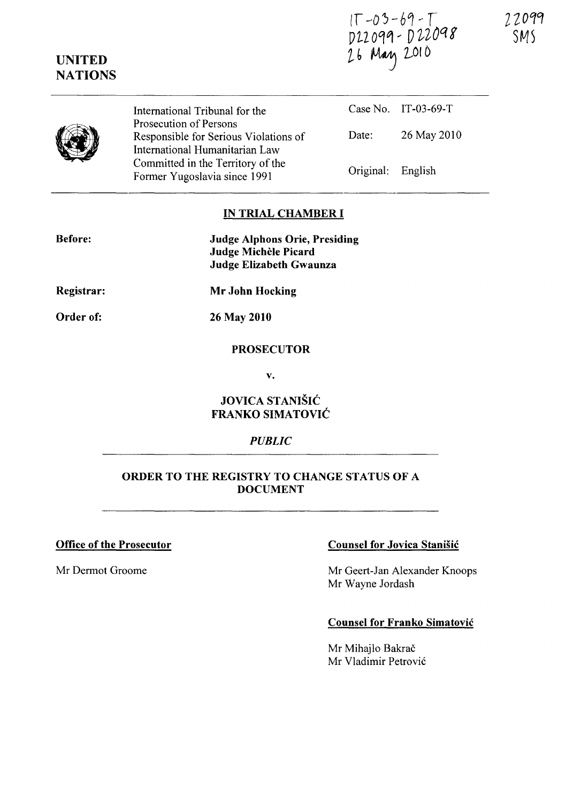IT-03-69-T<br>D22099-D22098<br>26 May 2010

2 *Z* ocrcr SMS

|  | International Tribunal for the<br>Prosecution of Persons                                            |                   | Case No. IT-03-69-T |
|--|-----------------------------------------------------------------------------------------------------|-------------------|---------------------|
|  | Responsible for Serious Violations of                                                               | Date:             | 26 May 2010         |
|  | International Humanitarian Law<br>Committed in the Territory of the<br>Former Yugoslavia since 1991 | Original: English |                     |

#### IN TRIAL CHAMBER **I**

| <b>Judge Alphons Orie, Presiding</b> |
|--------------------------------------|
| Judge Michèle Picard                 |
| Judge Elizabeth Gwaunza              |

Registrar:

Before:

UNITED **NATIONS** 

Order of:

26 May 2010

Mr John Hocking

#### PROSECUTOR

v.

# JOVICA STANISIC FRANKO SIMATOVIC

#### *PUBLIC*

#### ORDER TO THE REGISTRY TO CHANGE STATUS OF A DOCUMENT

## Office of the Prosecutor Counsel for Jovica Stanisic

Mr Dermot Groome Mr Geert-Jan Alexander Knoops Mr Wayne Jordash

### Counsel for Franko Simatovic

Mr Mihajlo Bakrač Mr Vladimir Petrovic